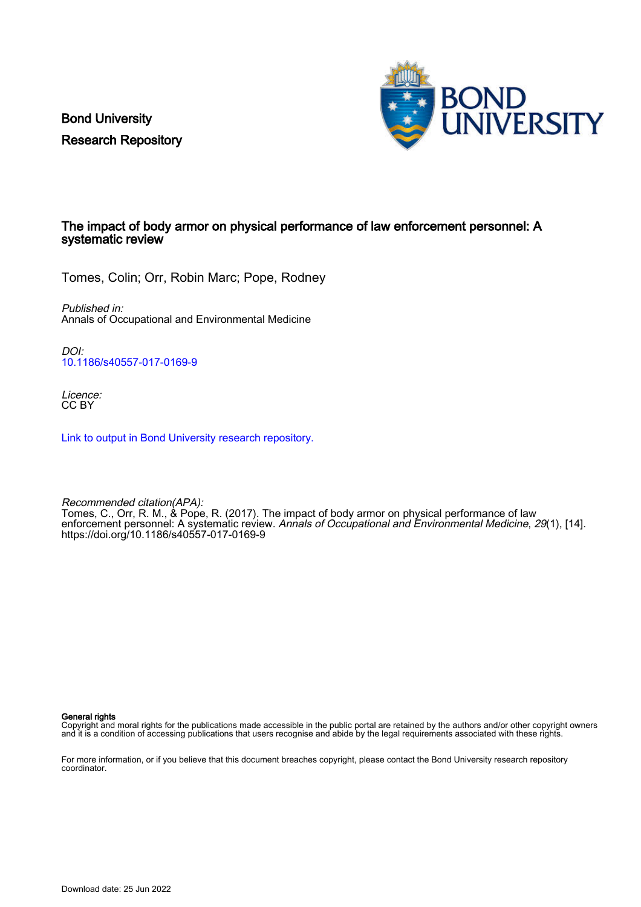Bond University Research Repository



## The impact of body armor on physical performance of law enforcement personnel: A systematic review

Tomes, Colin; Orr, Robin Marc; Pope, Rodney

Published in: Annals of Occupational and Environmental Medicine

DOI: [10.1186/s40557-017-0169-9](https://doi.org/10.1186/s40557-017-0169-9)

Licence: CC BY

[Link to output in Bond University research repository.](https://research.bond.edu.au/en/publications/85550cce-ccc1-4712-9df8-11c5af91ff29)

Recommended citation(APA): Tomes, C., Orr, R. M., & Pope, R. (2017). The impact of body armor on physical performance of law enforcement personnel: A systematic review. Annals of Occupational and Environmental Medicine, 29(1), [14]. <https://doi.org/10.1186/s40557-017-0169-9>

General rights

Copyright and moral rights for the publications made accessible in the public portal are retained by the authors and/or other copyright owners and it is a condition of accessing publications that users recognise and abide by the legal requirements associated with these rights.

For more information, or if you believe that this document breaches copyright, please contact the Bond University research repository coordinator.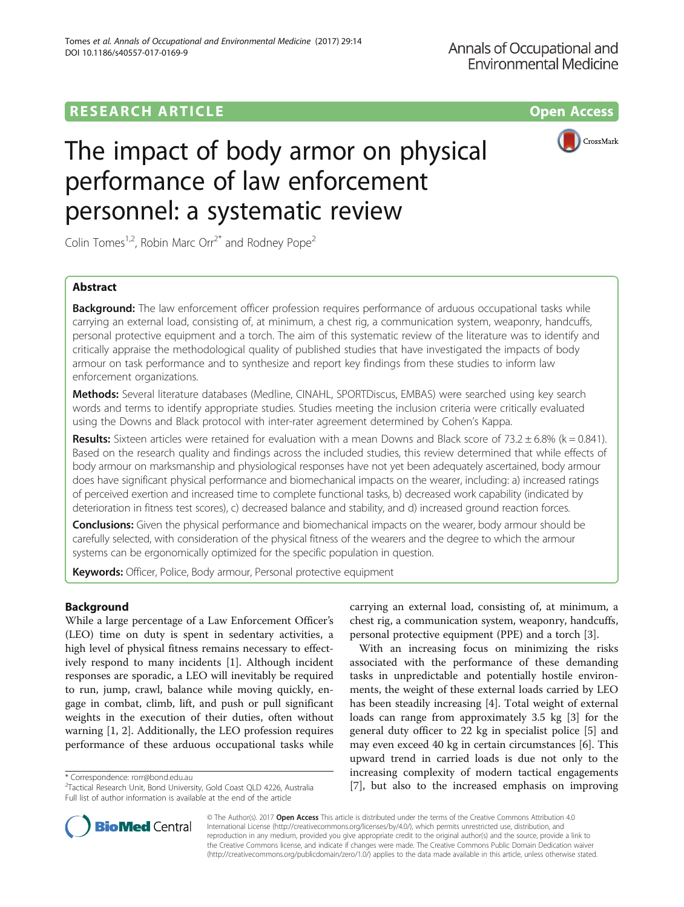## **RESEARCH ARTICLE Example 2014 12:30 The Contract of Contract ACCESS**



# The impact of body armor on physical performance of law enforcement personnel: a systematic review

Colin Tomes<sup>1,2</sup>, Robin Marc Orr<sup>2\*</sup> and Rodney Pope<sup>2</sup>

## Abstract

**Background:** The law enforcement officer profession requires performance of arduous occupational tasks while carrying an external load, consisting of, at minimum, a chest rig, a communication system, weaponry, handcuffs, personal protective equipment and a torch. The aim of this systematic review of the literature was to identify and critically appraise the methodological quality of published studies that have investigated the impacts of body armour on task performance and to synthesize and report key findings from these studies to inform law enforcement organizations.

Methods: Several literature databases (Medline, CINAHL, SPORTDiscus, EMBAS) were searched using key search words and terms to identify appropriate studies. Studies meeting the inclusion criteria were critically evaluated using the Downs and Black protocol with inter-rater agreement determined by Cohen's Kappa.

Results: Sixteen articles were retained for evaluation with a mean Downs and Black score of 73.2  $\pm$  6.8% (k = 0.841). Based on the research quality and findings across the included studies, this review determined that while effects of body armour on marksmanship and physiological responses have not yet been adequately ascertained, body armour does have significant physical performance and biomechanical impacts on the wearer, including: a) increased ratings of perceived exertion and increased time to complete functional tasks, b) decreased work capability (indicated by deterioration in fitness test scores), c) decreased balance and stability, and d) increased ground reaction forces.

Conclusions: Given the physical performance and biomechanical impacts on the wearer, body armour should be carefully selected, with consideration of the physical fitness of the wearers and the degree to which the armour systems can be ergonomically optimized for the specific population in question.

Keywords: Officer, Police, Body armour, Personal protective equipment

### Background

While a large percentage of a Law Enforcement Officer's (LEO) time on duty is spent in sedentary activities, a high level of physical fitness remains necessary to effectively respond to many incidents [\[1](#page-14-0)]. Although incident responses are sporadic, a LEO will inevitably be required to run, jump, crawl, balance while moving quickly, engage in combat, climb, lift, and push or pull significant weights in the execution of their duties, often without warning [[1, 2](#page-14-0)]. Additionally, the LEO profession requires performance of these arduous occupational tasks while

carrying an external load, consisting of, at minimum, a chest rig, a communication system, weaponry, handcuffs, personal protective equipment (PPE) and a torch [[3\]](#page-14-0).

With an increasing focus on minimizing the risks associated with the performance of these demanding tasks in unpredictable and potentially hostile environments, the weight of these external loads carried by LEO has been steadily increasing [[4\]](#page-14-0). Total weight of external loads can range from approximately 3.5 kg [[3\]](#page-14-0) for the general duty officer to 22 kg in specialist police [[5\]](#page-14-0) and may even exceed 40 kg in certain circumstances [\[6](#page-14-0)]. This upward trend in carried loads is due not only to the increasing complexity of modern tactical engagements \* Correspondence: rorr@bond.edu.au<br><sup>2</sup>Tactical Research Unit, Bond University, Gold Coast QLD 4226, Australia [[7\]](#page-14-0), **but also to the increased emphasis on improving** 



© The Author(s). 2017 **Open Access** This article is distributed under the terms of the Creative Commons Attribution 4.0 International License [\(http://creativecommons.org/licenses/by/4.0/](http://creativecommons.org/licenses/by/4.0/)), which permits unrestricted use, distribution, and reproduction in any medium, provided you give appropriate credit to the original author(s) and the source, provide a link to the Creative Commons license, and indicate if changes were made. The Creative Commons Public Domain Dedication waiver [\(http://creativecommons.org/publicdomain/zero/1.0/](http://creativecommons.org/publicdomain/zero/1.0/)) applies to the data made available in this article, unless otherwise stated.

Tactical Research Unit, Bond University, Gold Coast QLD 4226, Australia Full list of author information is available at the end of the article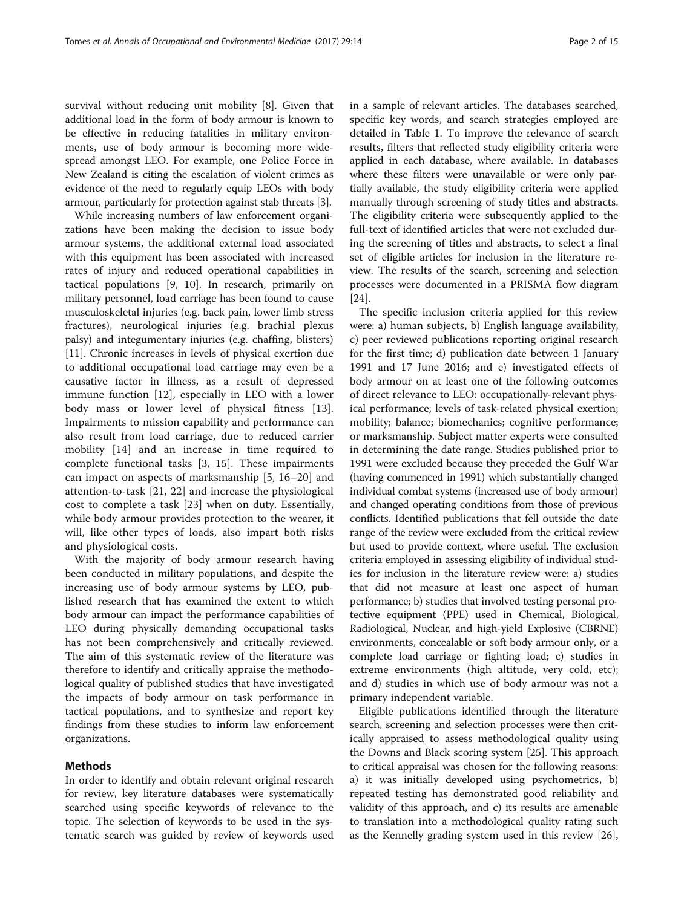survival without reducing unit mobility [\[8](#page-14-0)]. Given that additional load in the form of body armour is known to be effective in reducing fatalities in military environments, use of body armour is becoming more widespread amongst LEO. For example, one Police Force in New Zealand is citing the escalation of violent crimes as evidence of the need to regularly equip LEOs with body armour, particularly for protection against stab threats [\[3\]](#page-14-0).

While increasing numbers of law enforcement organizations have been making the decision to issue body armour systems, the additional external load associated with this equipment has been associated with increased rates of injury and reduced operational capabilities in tactical populations [[9, 10](#page-14-0)]. In research, primarily on military personnel, load carriage has been found to cause musculoskeletal injuries (e.g. back pain, lower limb stress fractures), neurological injuries (e.g. brachial plexus palsy) and integumentary injuries (e.g. chaffing, blisters) [[11\]](#page-14-0). Chronic increases in levels of physical exertion due to additional occupational load carriage may even be a causative factor in illness, as a result of depressed immune function [\[12](#page-14-0)], especially in LEO with a lower body mass or lower level of physical fitness [\[13](#page-14-0)]. Impairments to mission capability and performance can also result from load carriage, due to reduced carrier mobility [[14\]](#page-14-0) and an increase in time required to complete functional tasks [[3, 15\]](#page-14-0). These impairments can impact on aspects of marksmanship [\[5](#page-14-0), [16](#page-14-0)–[20\]](#page-14-0) and attention-to-task [\[21](#page-14-0), [22\]](#page-14-0) and increase the physiological cost to complete a task [[23](#page-14-0)] when on duty. Essentially, while body armour provides protection to the wearer, it will, like other types of loads, also impart both risks and physiological costs.

With the majority of body armour research having been conducted in military populations, and despite the increasing use of body armour systems by LEO, published research that has examined the extent to which body armour can impact the performance capabilities of LEO during physically demanding occupational tasks has not been comprehensively and critically reviewed. The aim of this systematic review of the literature was therefore to identify and critically appraise the methodological quality of published studies that have investigated the impacts of body armour on task performance in tactical populations, and to synthesize and report key findings from these studies to inform law enforcement organizations.

#### Methods

In order to identify and obtain relevant original research for review, key literature databases were systematically searched using specific keywords of relevance to the topic. The selection of keywords to be used in the systematic search was guided by review of keywords used in a sample of relevant articles. The databases searched, specific key words, and search strategies employed are detailed in Table [1](#page-3-0). To improve the relevance of search results, filters that reflected study eligibility criteria were applied in each database, where available. In databases where these filters were unavailable or were only partially available, the study eligibility criteria were applied manually through screening of study titles and abstracts. The eligibility criteria were subsequently applied to the full-text of identified articles that were not excluded during the screening of titles and abstracts, to select a final set of eligible articles for inclusion in the literature review. The results of the search, screening and selection processes were documented in a PRISMA flow diagram [[24\]](#page-14-0).

The specific inclusion criteria applied for this review were: a) human subjects, b) English language availability, c) peer reviewed publications reporting original research for the first time; d) publication date between 1 January 1991 and 17 June 2016; and e) investigated effects of body armour on at least one of the following outcomes of direct relevance to LEO: occupationally-relevant physical performance; levels of task-related physical exertion; mobility; balance; biomechanics; cognitive performance; or marksmanship. Subject matter experts were consulted in determining the date range. Studies published prior to 1991 were excluded because they preceded the Gulf War (having commenced in 1991) which substantially changed individual combat systems (increased use of body armour) and changed operating conditions from those of previous conflicts. Identified publications that fell outside the date range of the review were excluded from the critical review but used to provide context, where useful. The exclusion criteria employed in assessing eligibility of individual studies for inclusion in the literature review were: a) studies that did not measure at least one aspect of human performance; b) studies that involved testing personal protective equipment (PPE) used in Chemical, Biological, Radiological, Nuclear, and high-yield Explosive (CBRNE) environments, concealable or soft body armour only, or a complete load carriage or fighting load; c) studies in extreme environments (high altitude, very cold, etc); and d) studies in which use of body armour was not a primary independent variable.

Eligible publications identified through the literature search, screening and selection processes were then critically appraised to assess methodological quality using the Downs and Black scoring system [[25](#page-14-0)]. This approach to critical appraisal was chosen for the following reasons: a) it was initially developed using psychometrics, b) repeated testing has demonstrated good reliability and validity of this approach, and c) its results are amenable to translation into a methodological quality rating such as the Kennelly grading system used in this review [\[26](#page-14-0)],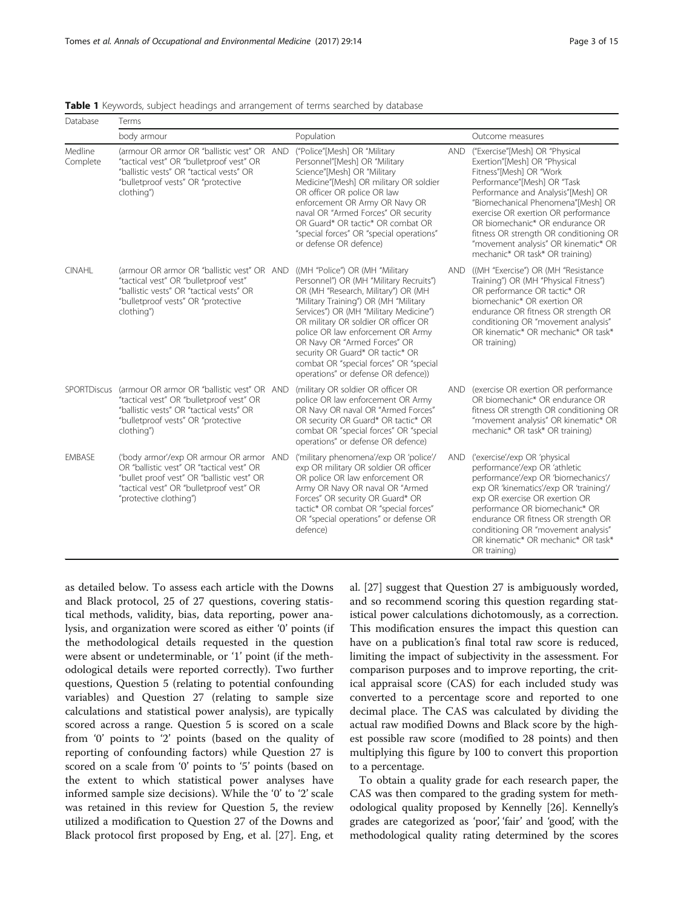| Database            | Terms                                                                                                                                                                                                                |                                                                                                                                                                                                                                                                                                                                                                                                     |            |                                                                                                                                                                                                                                                                                                                                                                                                     |
|---------------------|----------------------------------------------------------------------------------------------------------------------------------------------------------------------------------------------------------------------|-----------------------------------------------------------------------------------------------------------------------------------------------------------------------------------------------------------------------------------------------------------------------------------------------------------------------------------------------------------------------------------------------------|------------|-----------------------------------------------------------------------------------------------------------------------------------------------------------------------------------------------------------------------------------------------------------------------------------------------------------------------------------------------------------------------------------------------------|
|                     | body armour                                                                                                                                                                                                          | Population                                                                                                                                                                                                                                                                                                                                                                                          |            | Outcome measures                                                                                                                                                                                                                                                                                                                                                                                    |
| Medline<br>Complete | (armour OR armor OR "ballistic vest" OR AND<br>"tactical vest" OR "bulletproof vest" OR<br>"ballistic vests" OR "tactical vests" OR<br>"bulletproof vests" OR "protective<br>clothing")                              | ("Police"[Mesh] OR "Military<br>Personnel"[Mesh] OR "Military<br>Science"[Mesh] OR "Military<br>Medicine"[Mesh] OR military OR soldier<br>OR officer OR police OR law<br>enforcement OR Army OR Navy OR<br>naval OR "Armed Forces" OR security<br>OR Guard* OR tactic* OR combat OR<br>"special forces" OR "special operations"<br>or defense OR defence)                                           | <b>AND</b> | ("Exercise"[Mesh] OR "Physical<br>Exertion"[Mesh] OR "Physical<br>Fitness"[Mesh] OR "Work<br>Performance"[Mesh] OR "Task<br>Performance and Analysis"[Mesh] OR<br>"Biomechanical Phenomena"[Mesh] OR<br>exercise OR exertion OR performance<br>OR biomechanic* OR endurance OR<br>fitness OR strength OR conditioning OR<br>"movement analysis" OR kinematic* OR<br>mechanic* OR task* OR training) |
| <b>CINAHL</b>       | (armour OR armor OR "ballistic vest" OR AND ((MH "Police") OR (MH "Military<br>"tactical vest" OR "bulletproof vest"<br>"ballistic vests" OR "tactical vests" OR<br>"bulletproof vests" OR "protective<br>clothing") | Personnel") OR (MH "Military Recruits")<br>OR (MH "Research, Military") OR (MH<br>"Military Training") OR (MH "Military<br>Services") OR (MH "Military Medicine")<br>OR military OR soldier OR officer OR<br>police OR law enforcement OR Army<br>OR Navy OR "Armed Forces" OR<br>security OR Guard* OR tactic* OR<br>combat OR "special forces" OR "special<br>operations" or defense OR defence)) | <b>AND</b> | ((MH "Exercise") OR (MH "Resistance<br>Training") OR (MH "Physical Fitness")<br>OR performance OR tactic* OR<br>biomechanic* OR exertion OR<br>endurance OR fitness OR strength OR<br>conditioning OR "movement analysis"<br>OR kinematic* OR mechanic* OR task*<br>OR training)                                                                                                                    |
| SPORTDiscus         | (armour OR armor OR "ballistic vest" OR AND<br>"tactical vest" OR "bulletproof vest" OR<br>"ballistic vests" OR "tactical vests" OR<br>"bulletproof vests" OR "protective<br>clothing")                              | (military OR soldier OR officer OR<br>police OR law enforcement OR Army<br>OR Navy OR naval OR "Armed Forces"<br>OR security OR Guard* OR tactic* OR<br>combat OR "special forces" OR "special<br>operations" or defense OR defence)                                                                                                                                                                | <b>AND</b> | (exercise OR exertion OR performance<br>OR biomechanic* OR endurance OR<br>fitness OR strength OR conditioning OR<br>"movement analysis" OR kinematic* OR<br>mechanic* OR task* OR training)                                                                                                                                                                                                        |
| <b>EMBASE</b>       | ('body armor'/exp OR armour OR armor AND<br>OR "ballistic vest" OR "tactical vest" OR<br>"bullet proof vest" OR "ballistic vest" OR<br>"tactical vest" OR "bulletproof vest" OR<br>"protective clothing")            | ('military phenomena'/exp OR 'police'/<br>exp OR military OR soldier OR officer<br>OR police OR law enforcement OR<br>Army OR Navy OR naval OR "Armed<br>Forces" OR security OR Guard* OR<br>tactic* OR combat OR "special forces"<br>OR "special operations" or defense OR<br>defence)                                                                                                             | <b>AND</b> | ('exercise'/exp OR 'physical<br>performance'/exp OR 'athletic<br>performance'/exp OR 'biomechanics'/<br>exp OR 'kinematics'/exp OR 'training'/<br>exp OR exercise OR exertion OR<br>performance OR biomechanic* OR<br>endurance OR fitness OR strength OR<br>conditioning OR "movement analysis"<br>OR kinematic* OR mechanic* OR task*<br>OR training)                                             |

<span id="page-3-0"></span>Table 1 Keywords, subject headings and arrangement of terms searched by database

as detailed below. To assess each article with the Downs and Black protocol, 25 of 27 questions, covering statistical methods, validity, bias, data reporting, power analysis, and organization were scored as either '0' points (if the methodological details requested in the question were absent or undeterminable, or '1' point (if the methodological details were reported correctly). Two further questions, Question 5 (relating to potential confounding variables) and Question 27 (relating to sample size calculations and statistical power analysis), are typically scored across a range. Question 5 is scored on a scale from '0' points to '2' points (based on the quality of reporting of confounding factors) while Question 27 is scored on a scale from '0' points to '5' points (based on the extent to which statistical power analyses have informed sample size decisions). While the '0' to '2' scale was retained in this review for Question 5, the review utilized a modification to Question 27 of the Downs and Black protocol first proposed by Eng, et al. [[27\]](#page-14-0). Eng, et al. [\[27\]](#page-14-0) suggest that Question 27 is ambiguously worded, and so recommend scoring this question regarding statistical power calculations dichotomously, as a correction. This modification ensures the impact this question can have on a publication's final total raw score is reduced, limiting the impact of subjectivity in the assessment. For comparison purposes and to improve reporting, the critical appraisal score (CAS) for each included study was converted to a percentage score and reported to one decimal place. The CAS was calculated by dividing the actual raw modified Downs and Black score by the highest possible raw score (modified to 28 points) and then multiplying this figure by 100 to convert this proportion to a percentage.

To obtain a quality grade for each research paper, the CAS was then compared to the grading system for methodological quality proposed by Kennelly [\[26\]](#page-14-0). Kennelly's grades are categorized as 'poor', 'fair' and 'good', with the methodological quality rating determined by the scores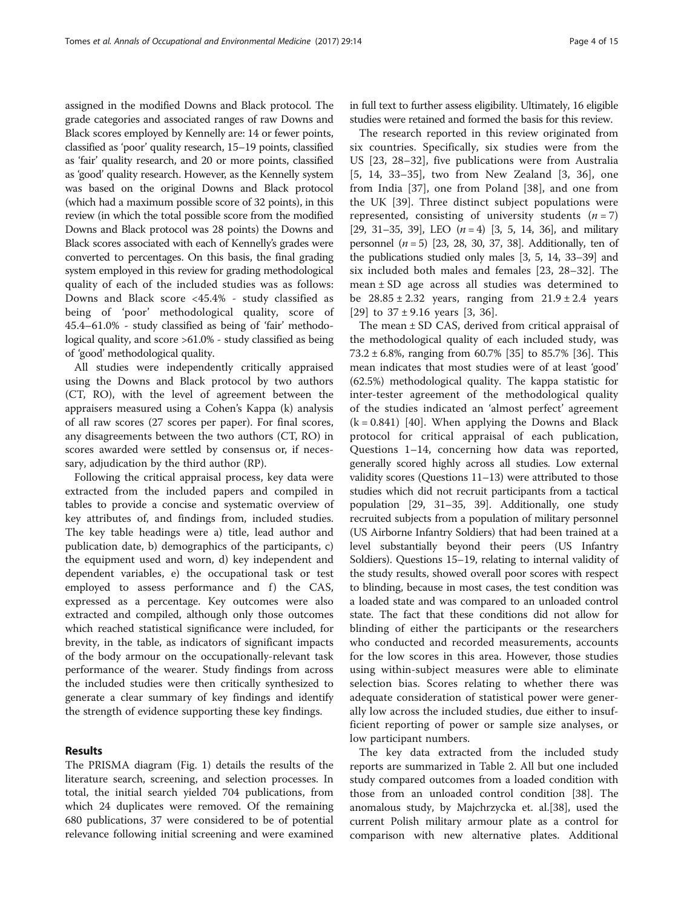assigned in the modified Downs and Black protocol. The grade categories and associated ranges of raw Downs and Black scores employed by Kennelly are: 14 or fewer points, classified as 'poor' quality research, 15–19 points, classified as 'fair' quality research, and 20 or more points, classified as 'good' quality research. However, as the Kennelly system was based on the original Downs and Black protocol (which had a maximum possible score of 32 points), in this review (in which the total possible score from the modified Downs and Black protocol was 28 points) the Downs and Black scores associated with each of Kennelly's grades were converted to percentages. On this basis, the final grading system employed in this review for grading methodological quality of each of the included studies was as follows: Downs and Black score <45.4% - study classified as being of 'poor' methodological quality, score of 45.4–61.0% - study classified as being of 'fair' methodological quality, and score >61.0% - study classified as being of 'good' methodological quality.

All studies were independently critically appraised using the Downs and Black protocol by two authors (CT, RO), with the level of agreement between the appraisers measured using a Cohen's Kappa (k) analysis of all raw scores (27 scores per paper). For final scores, any disagreements between the two authors (CT, RO) in scores awarded were settled by consensus or, if necessary, adjudication by the third author (RP).

Following the critical appraisal process, key data were extracted from the included papers and compiled in tables to provide a concise and systematic overview of key attributes of, and findings from, included studies. The key table headings were a) title, lead author and publication date, b) demographics of the participants, c) the equipment used and worn, d) key independent and dependent variables, e) the occupational task or test employed to assess performance and f) the CAS, expressed as a percentage. Key outcomes were also extracted and compiled, although only those outcomes which reached statistical significance were included, for brevity, in the table, as indicators of significant impacts of the body armour on the occupationally-relevant task performance of the wearer. Study findings from across the included studies were then critically synthesized to generate a clear summary of key findings and identify the strength of evidence supporting these key findings.

#### Results

The PRISMA diagram (Fig. [1\)](#page-5-0) details the results of the literature search, screening, and selection processes. In total, the initial search yielded 704 publications, from which 24 duplicates were removed. Of the remaining 680 publications, 37 were considered to be of potential relevance following initial screening and were examined

in full text to further assess eligibility. Ultimately, 16 eligible studies were retained and formed the basis for this review.

The research reported in this review originated from six countries. Specifically, six studies were from the US [[23, 28](#page-14-0)–[32\]](#page-15-0), five publications were from Australia [[5, 14,](#page-14-0) [33](#page-15-0)–[35\]](#page-15-0), two from New Zealand [\[3](#page-14-0), [36](#page-15-0)], one from India [\[37](#page-15-0)], one from Poland [[38](#page-15-0)], and one from the UK [[39\]](#page-15-0). Three distinct subject populations were represented, consisting of university students  $(n = 7)$ [[29](#page-14-0), [31](#page-15-0)–[35, 39\]](#page-15-0), LEO  $(n = 4)$  [[3](#page-14-0), [5, 14](#page-14-0), [36](#page-15-0)], and military personnel  $(n = 5)$  [[23, 28, 30](#page-14-0), [37, 38](#page-15-0)]. Additionally, ten of the publications studied only males [\[3, 5, 14](#page-14-0), [33](#page-15-0)–[39\]](#page-15-0) and six included both males and females [[23, 28](#page-14-0)–[32\]](#page-15-0). The mean  $\pm$  SD age across all studies was determined to be  $28.85 \pm 2.32$  years, ranging from  $21.9 \pm 2.4$  years [[29\]](#page-14-0) to  $37 \pm 9.16$  years [[3,](#page-14-0) [36\]](#page-15-0).

The mean  $\pm$  SD CAS, derived from critical appraisal of the methodological quality of each included study, was 73.2  $\pm$  6.8%, ranging from 60.7% [[35](#page-15-0)] to 85.7% [[36\]](#page-15-0). This mean indicates that most studies were of at least 'good' (62.5%) methodological quality. The kappa statistic for inter-tester agreement of the methodological quality of the studies indicated an 'almost perfect' agreement  $(k = 0.841)$  [[40\]](#page-15-0). When applying the Downs and Black protocol for critical appraisal of each publication, Questions 1–14, concerning how data was reported, generally scored highly across all studies. Low external validity scores (Questions 11–13) were attributed to those studies which did not recruit participants from a tactical population [[29](#page-14-0), [31](#page-15-0)–[35](#page-15-0), [39\]](#page-15-0). Additionally, one study recruited subjects from a population of military personnel (US Airborne Infantry Soldiers) that had been trained at a level substantially beyond their peers (US Infantry Soldiers). Questions 15–19, relating to internal validity of the study results, showed overall poor scores with respect to blinding, because in most cases, the test condition was a loaded state and was compared to an unloaded control state. The fact that these conditions did not allow for blinding of either the participants or the researchers who conducted and recorded measurements, accounts for the low scores in this area. However, those studies using within-subject measures were able to eliminate selection bias. Scores relating to whether there was adequate consideration of statistical power were generally low across the included studies, due either to insufficient reporting of power or sample size analyses, or low participant numbers.

The key data extracted from the included study reports are summarized in Table [2.](#page-6-0) All but one included study compared outcomes from a loaded condition with those from an unloaded control condition [\[38](#page-15-0)]. The anomalous study, by Majchrzycka et. al.[[38](#page-15-0)], used the current Polish military armour plate as a control for comparison with new alternative plates. Additional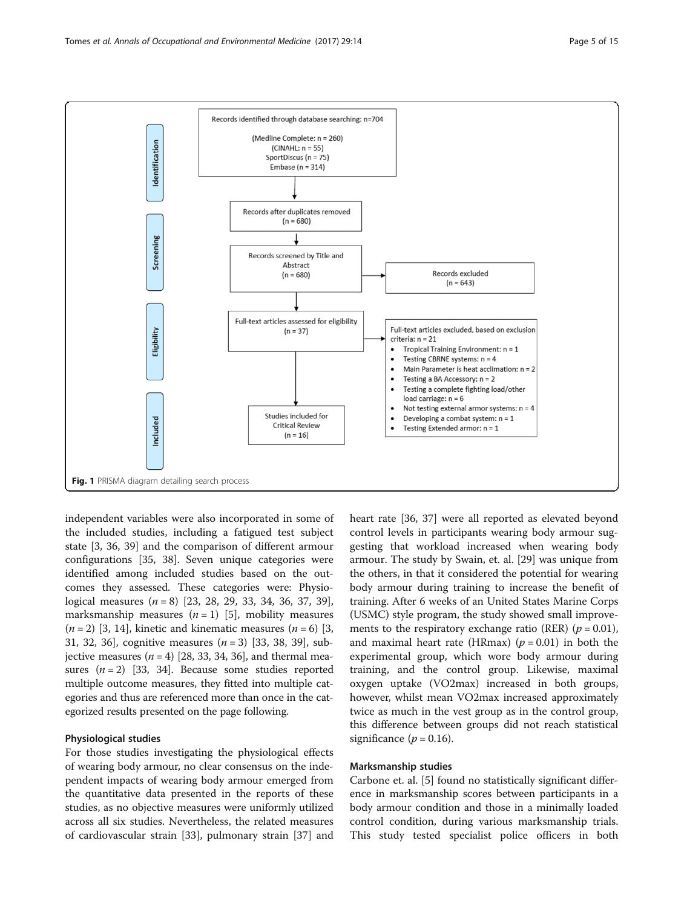<span id="page-5-0"></span>

independent variables were also incorporated in some of the included studies, including a fatigued test subject state [\[3](#page-14-0), [36, 39\]](#page-15-0) and the comparison of different armour configurations [[35, 38](#page-15-0)]. Seven unique categories were identified among included studies based on the outcomes they assessed. These categories were: Physiological measures  $(n = 8)$  [[23, 28, 29,](#page-14-0) [33, 34, 36](#page-15-0), [37](#page-15-0), [39](#page-15-0)], marksmanship measures  $(n = 1)$  [[5\]](#page-14-0), mobility measures  $(n = 2)$  [\[3](#page-14-0), [14](#page-14-0)], kinetic and kinematic measures  $(n = 6)$  [3, [31, 32](#page-15-0), [36\]](#page-15-0), cognitive measures  $(n = 3)$  [\[33](#page-15-0), [38, 39\]](#page-15-0), subjective measures  $(n = 4)$  [[28](#page-14-0), [33, 34](#page-15-0), [36\]](#page-15-0), and thermal measures  $(n = 2)$  [\[33, 34\]](#page-15-0). Because some studies reported multiple outcome measures, they fitted into multiple categories and thus are referenced more than once in the categorized results presented on the page following.

#### Physiological studies

For those studies investigating the physiological effects of wearing body armour, no clear consensus on the independent impacts of wearing body armour emerged from the quantitative data presented in the reports of these studies, as no objective measures were uniformly utilized across all six studies. Nevertheless, the related measures of cardiovascular strain [\[33\]](#page-15-0), pulmonary strain [[37](#page-15-0)] and heart rate [\[36, 37\]](#page-15-0) were all reported as elevated beyond control levels in participants wearing body armour suggesting that workload increased when wearing body armour. The study by Swain, et. al. [[29](#page-14-0)] was unique from the others, in that it considered the potential for wearing body armour during training to increase the benefit of training. After 6 weeks of an United States Marine Corps (USMC) style program, the study showed small improvements to the respiratory exchange ratio (RER) ( $p = 0.01$ ), and maximal heart rate (HRmax) ( $p = 0.01$ ) in both the experimental group, which wore body armour during training, and the control group. Likewise, maximal oxygen uptake (VO2max) increased in both groups, however, whilst mean VO2max increased approximately twice as much in the vest group as in the control group, this difference between groups did not reach statistical significance  $(p = 0.16)$ .

#### Marksmanship studies

Carbone et. al. [\[5\]](#page-14-0) found no statistically significant difference in marksmanship scores between participants in a body armour condition and those in a minimally loaded control condition, during various marksmanship trials. This study tested specialist police officers in both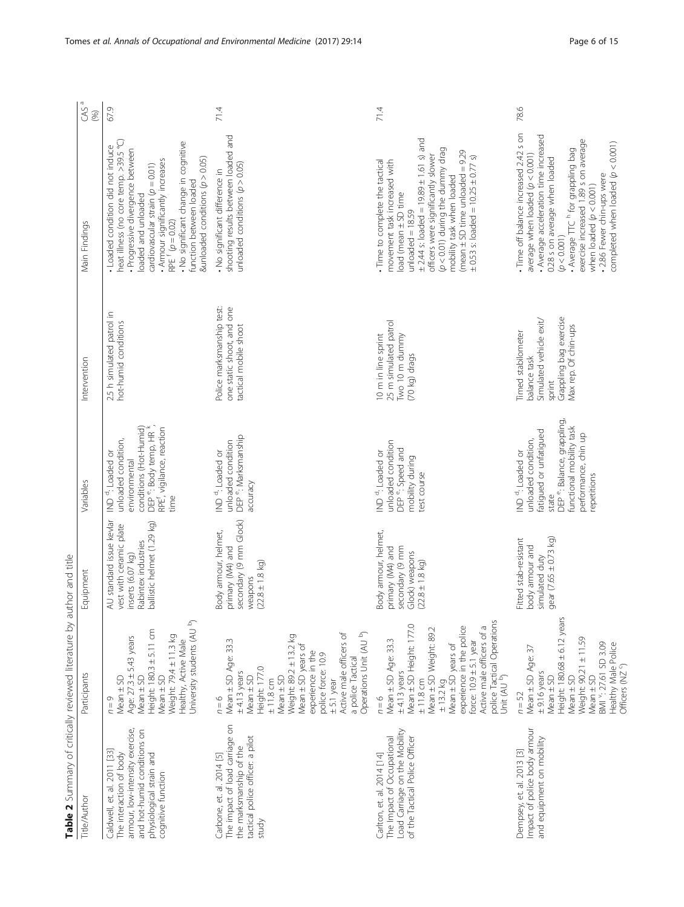<span id="page-6-0"></span>

| NOTE CONSUMER A PROPERTY OF A STRAIGHTEN OF A PARTIES OF A PARTIES OF A PARTIES.                                                                                           |                                                                                                                                                                                                                                                                                                 | auu alu jirg                                                                                                                  |                                                                                                                                                                                                           |                                                                                                                           |                                                                                                                                                                                                                                                                                                                                                               |                |
|----------------------------------------------------------------------------------------------------------------------------------------------------------------------------|-------------------------------------------------------------------------------------------------------------------------------------------------------------------------------------------------------------------------------------------------------------------------------------------------|-------------------------------------------------------------------------------------------------------------------------------|-----------------------------------------------------------------------------------------------------------------------------------------------------------------------------------------------------------|---------------------------------------------------------------------------------------------------------------------------|---------------------------------------------------------------------------------------------------------------------------------------------------------------------------------------------------------------------------------------------------------------------------------------------------------------------------------------------------------------|----------------|
| Title/Author                                                                                                                                                               | Participants                                                                                                                                                                                                                                                                                    | Equipment                                                                                                                     | Variables                                                                                                                                                                                                 | Intervention                                                                                                              | Main Findings                                                                                                                                                                                                                                                                                                                                                 | $CAS^a$<br>(%) |
| armour, low-intensity exercise,<br>and hot-humid conditions on<br>Caldwell, et. al. 2011 [33]<br>physiological strain and<br>The interaction of body<br>cognitive function | University students (AU b)<br>Height: $180.3 \pm 5.11$ cm<br>Weight: 794 ± 11.3 kg<br>Age: 27.3 ± 5.43 years<br>Healthy, Active Male<br>$Mean \pm SD$<br>$Mean \pm SD$<br>$Mean \pm SD$<br>$n = 9$                                                                                              | AU standard issue kevlar<br>ballistic helmet (1.29 kg)<br>vest with ceramic plate<br>Rabintex industries<br>inserts (6.07 kg) | conditions (Hot-Humid)<br>DEP <sup>e</sup> : Body temp, HR <sup>k</sup> ,<br>RPE <sup>f</sup> , vigilance, reaction<br>unloaded condition,<br>ND <sup>d</sup> : Loaded or<br>environmental<br>time        | 2.5 h simulated patrol in<br>hot-humid conditions                                                                         | neat illness (no core temp. >39.5 °C)<br>No significant change in cognitive<br>Loaded condition did not induce<br>Progressive divergence between<br>&unloaded conditions $(p > 0.05)$<br>Armour significantly increases<br>cardiovascular strain $(p = 0.01)$<br>function between loaded<br>loaded and unloaded<br>$RPE$ <sup>f</sup> $(p = 0.02)$            | 67.9           |
| The impact of load carriage on<br>tactical police officer: a pilot<br>the marksmanship of the<br>Carbone, et. al. 2014 [5]<br>study                                        | Operations Unit (AU b)<br>Active male officers of<br>Weight: 89.2 ± 13.2 kg<br>Mean ± SD Age: 33.3<br>Mean ± SD years of<br>experience in the<br>police force: 10.9<br>a police Tactical<br>Height: 177.0<br>$± 4.13$ years<br>Mean ± SD<br>$Mean \pm SD$<br>±11.8cm<br>$± 5.1$ year<br>$n = 6$ | secondary (9 mm Glock)<br>Body armour, helmet,<br>primary (M4) and<br>$(22.8 \pm 1.8 \text{ kg})$<br>weapons                  | DEP <sup>e</sup> : Marksmanship<br>unloaded condition<br>IND <sup>d</sup> : Loaded or<br>accuracy                                                                                                         | Police marksmanship test:<br>one static shoot, and one<br>tactical mobile shoot                                           | shooting results between loaded and<br>unloaded conditions $(p > 0.05)$<br>· No significant difference in                                                                                                                                                                                                                                                     | 71.4           |
| Load Carriage on the Mobility<br>of the Tactical Police Officer<br>The Impact of Occupational<br>Carlton, et. al. 2014 [14]                                                | police Tactical Operations<br>Mean ± SD Height: 177.0<br>Active male officers of a<br>experience in the police<br>Mean ± SD Weight: 89.2<br>Mean ± SD Age: 33.3<br>force: $10.9 \pm 5.1$ year<br>$± 13.2$ kg<br>Mean $±$ SD years of<br>$±$ 4.13 years<br>Unit (AU b)<br>±11.8cm<br>$n = 6$     | Body armour, helmet,<br>secondary (9 mm<br>primary (M4) and<br>Glock) weapons<br>$(22.8 \pm 1.8 \text{ kg})$                  | unloaded condition<br>DEP <sup>e</sup> : Speed and<br>IND <sup>d</sup> : Loaded or<br>mobility during<br>test course                                                                                      | 25 m simulated patrol<br>10 m in line sprint<br>Two 10 m dummy<br>(70 kg) drags                                           | $\pm$ 2.44 s: loaded = 19.89 $\pm$ 1.61 s) and<br>$(p < 0.01)$ during the dummy drag<br>(mean $\pm$ SD time unloaded = 9.29<br>officers were significantly slower<br>$\pm$ 0.53 s: loaded = 10.25 $\pm$ 0.77 s)<br>. Time to complete the tactical<br>movement task increased with<br>mobility task when loaded<br>load (mean ± SD time<br>$unloaded = 18.59$ | 71.4           |
| Impact of police body armour<br>and equipment on mobility<br>Dempsey, et. al. 2013 [3]                                                                                     | Height: 180.68 ± 6.12 years<br>Weight: 90.21 ± 11.59<br>BMI Y: 27.61 SD 3.09<br>Healthy Male Police<br>Mean ± SD Age: 37<br>Officers (NZ 9)<br>$±$ 9.16 years<br>$Mean \pm SD$<br>$Mean \pm SD$<br>$Mean \pm SD$<br>$n = 52$                                                                    | gear (7.65 $\pm$ 0.73 kg)<br>Fitted stab-resistant<br>body armour and<br>simulated duty                                       | DEP <sup>e</sup> : Balance, grappling,<br>functional mobility task<br>fatigued or unfatigued<br>performance, chin up<br>unloaded condition,<br><b>ND</b> <sup>d</sup> : Loaded or<br>repetitions<br>state | Grappling bag exercise<br>Simulated vehicle exit/<br>Max rep. Of chin-ups<br>Timed stabilometer<br>balance task<br>sprint | Time off balance increased 2.42 s on<br>Average acceleration time increased<br>exercise increased 1.89 s on average<br>completed when loaded $(p < 0.001)$<br>" Average TTC <sup>h</sup> for grappling bag<br>average when loaded $(p < 0.001)$<br>0.28 s on average when loaded<br>. 2.86 Fewer chin-ups were<br>when loaded $(p < 0.001)$<br>(p < 0.001)    | 78.6           |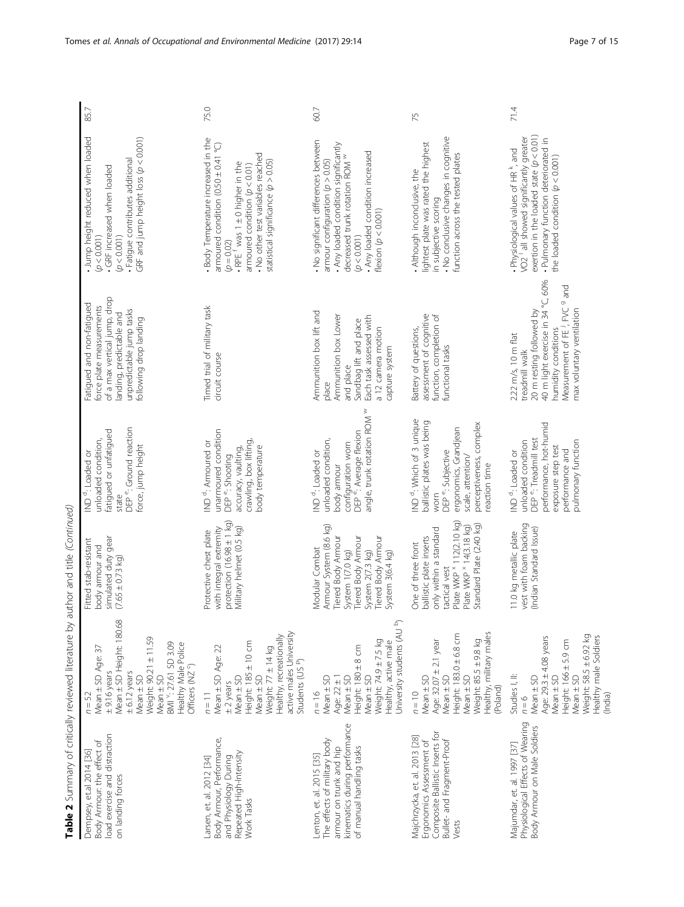| load exercise and distraction<br>Body Armour: the effect of<br>Dempsey, et.al 2014 [36]<br>on landing forces                                      | Mean ± SD Height: 180.68<br>Weight: 90.21 ± 11.59<br>BMI ": 27.61 SD 3.09<br>Healthy Male Police<br>Mean ± SD Age: 37<br>Officers (NZ 9)<br>$± 6.12$ years<br>$± 9.16$ years<br>$Mean \pm SD$<br>$Mean \pm SD$<br>$n = 52$ | simulated duty gear<br>Fitted stab-resistant<br>body armour and<br>$(7.65 \pm 0.73$ kg)                                                                                       | DEP <sup>e</sup> : Ground reaction<br>fatigued or unfatigued<br>unloaded condition,<br>force, jump height<br>ND <sup>d</sup> : Loaded or<br>state                                                    | of a max vertical jump, drop<br>Fatigued and non-fatigued<br>force plate measurements<br>unpredictable jump tasks<br>landing, predictable and<br>following drop landing                                       | Jump height reduced when loaded<br>GRF and jump height loss $(p < 0.001)$<br>Fatigue contributes additional<br>GRF increased when loaded<br>(p < 0.001)<br>(p < 0.001)                                                                          | 85.7 |
|---------------------------------------------------------------------------------------------------------------------------------------------------|----------------------------------------------------------------------------------------------------------------------------------------------------------------------------------------------------------------------------|-------------------------------------------------------------------------------------------------------------------------------------------------------------------------------|------------------------------------------------------------------------------------------------------------------------------------------------------------------------------------------------------|---------------------------------------------------------------------------------------------------------------------------------------------------------------------------------------------------------------|-------------------------------------------------------------------------------------------------------------------------------------------------------------------------------------------------------------------------------------------------|------|
| Body Armour, Performance,<br>Repeated High-Intensity<br>and Physiology During<br>Larsen, et. al. 2012 [34]<br>Work Tasks                          | active males University<br>Healthy, recreationally<br>Height: 185 ± 10 cm<br>Mean ± SD Age: 22<br>Weight: 77 ± 14 kg<br>Students (US P)<br>$Mean \pm SD$<br>$Mean \pm SD$<br>$±$ 2 years<br>$n = 11$                       | protection $(16.98 \pm 1 \text{ kg})$<br>with integral extremity<br>Military helmet (0.5 kg)<br>Protective chest plate                                                        | unarmoured condition<br>crawling, box lifting,<br>IND <sup>d</sup> : Armoured or<br>body temperature<br>accuracy, vaulting,<br>DEP <sup>e</sup> : Shooting                                           | Timed trial of military task<br>circuit course                                                                                                                                                                | Body Temperature increased in the<br>armoured condition $(0.50 \pm 0.41$ °C)<br>. No other test variables reached<br>statistical significance $(p > 0.05)$<br>$RPEf$ was 1 ± 0 higher in the<br>armoured condition $(p < 0.01)$<br>$(p = 0.02)$ | 75.0 |
| kinematics during performance<br>The effects of military body<br>armour on trunk and hip<br>of manual handling tasks<br>Lenton, et. al. 2015 [35] | University students (AU b)<br>Weight: 74.9 ± 7.5 kg<br>Healthy, active male<br>Height: 180 ± 8 cm<br>$Mean \pm SD$<br>$Mean \pm SD$<br>Age: $22 \pm 1$<br>$Mean \pm SD$<br>$n = 16$                                        | Armour System (8.6 kg)<br>Tiered Body Armour<br><b>Tiered Body Armour</b><br>Tiered Body Armour<br>Modular Combat<br>System 2(7.3 kg)<br>System 1(7.0 kg)<br>System 3(6.4 kg) | angle, trunk rotation ROM W<br>DEP <sup>e</sup> : Average flexion<br>unloaded condition,<br>configuration worn<br>ND <sup>d</sup> : Loaded or<br>body armour                                         | Ammunition box lift and<br>Ammunition box Lower<br>Each task assessed with<br>Sandbag lift and place<br>a 12 camera motion<br>capture system<br>and place<br>place                                            | . No significant differences between<br>Any loaded condition significantly<br>. Any loaded condition increased<br>decreased trunk rotation ROM W<br>armour configuration $(p > 0.05)$<br>flexion $(p < 0.001)$<br>(p < 0.001)                   | 60.7 |
| Composite Ballistic Inserts for<br>Majchrzycka, et. al. 2013 [28]<br>Bullet- and Fragment-Proof<br>Ergonomics Assessment of<br>Vests              | Healthy, military males<br>Height: 183.0 ± 6.8 cm<br>Weight: 85.5 ± 9.8 kg<br>Age: 32.07 ± 2.1 year<br>$Mean \pm SD$<br>$Mean \pm SD$<br>Mean ± SD<br>(Poland)<br>$n = 10$                                                 | Plate WKP × 112(2.10 kg)<br>Standard Plate (2.40 kg)<br>Plate WKP $*$ 14(3.18 kg)<br>only within a standard<br>ballistic plate inserts<br>One of three front<br>tactical vest | ND <sup>d</sup> : Which of 3 unique<br>ballistic plates was being<br>perceptiveness, complex<br>ergonomics, Grandjean<br>DEP <sup>e</sup> : Subjective<br>scale, attention/<br>reaction time<br>worn | assessment of cognitive<br>function, completion of<br>Battery of questions,<br>functional tasks                                                                                                               | • No conclusive changes in cognitive<br>lightest plate was rated the highest<br>function across the tested plates<br>Although inconclusive, the<br>in subjective scoring                                                                        | 75   |
| Physiological Effects of Wearing<br>Body Armour on Male Soldiers<br>Majumdar, et. al. 1997 [37]                                                   | Weight: 58.5 ± 6.92 kg<br>Healthy male Soldiers<br>Age: 29.3 ± 4.08 years<br>Height: $166 \pm 5.9$ cm<br>Mean ± SD<br>Studies I, II:<br>Mean ± SD<br>$Mean \pm SD$<br>(India)<br>$n = 6$                                   | vest with foam backing<br>(Indian Standard Issue)<br>11.0 kg metallic plate                                                                                                   | performance, hot-humid<br>DEP <sup>e</sup> : Treadmill test<br>unloaded condition<br>pulmonary function<br>exposure step test<br>performance and<br>ND <sup>d</sup> : Loaded or                      | °C, 60%<br>Measurement of FE <sup>J</sup> , FVC 9 and<br>max voluntary ventilation<br>20 m resting followed by<br>40 m light exercise in 34<br>humidity conditions<br>$2.22$ m/s, 10 m flat<br>treadmill walk | exertion in the loaded state $(p < 0.01)$<br>• Physiological values of HR <sup>k</sup> , and<br>VO2 <sup>1</sup> all showed significantly greater<br>. Pulmonary function deteriorated in<br>the loaded condition $(p < 0.001)$                 | 71.4 |

Table 2 Summary of critically reviewed literature by author and title (Continued)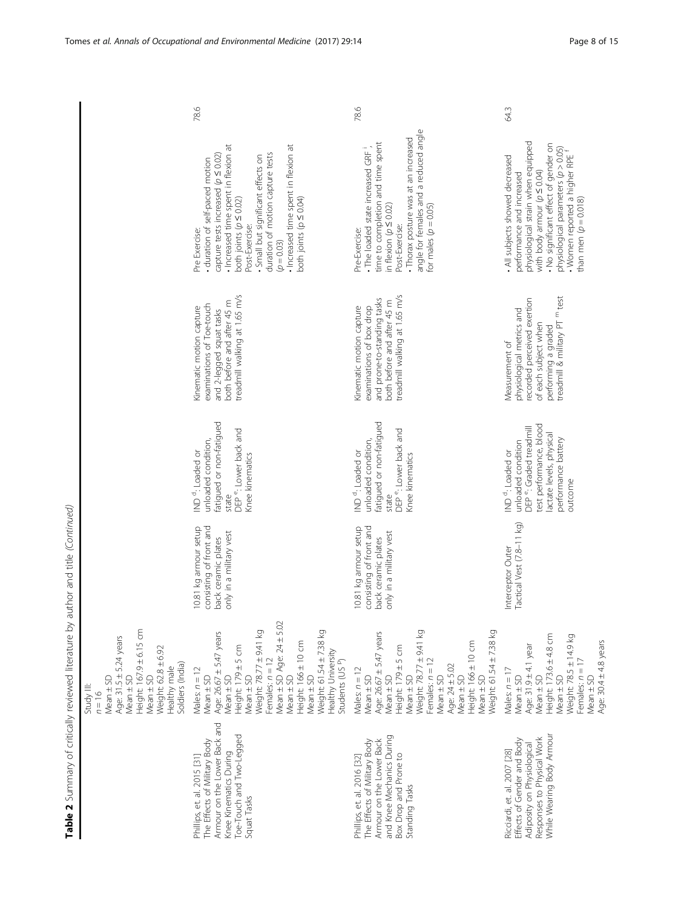| 78.6                                                                                                                                                                                                                                                                                                                                                                                                                                            |                                               | 78.6                                                                                                                                                                                                                                                                                                    |
|-------------------------------------------------------------------------------------------------------------------------------------------------------------------------------------------------------------------------------------------------------------------------------------------------------------------------------------------------------------------------------------------------------------------------------------------------|-----------------------------------------------|---------------------------------------------------------------------------------------------------------------------------------------------------------------------------------------------------------------------------------------------------------------------------------------------------------|
| Increased time spent in flexion at<br>· Increased time spent in flexion at<br>duration of motion capture tests<br>capture tests increased ( $p \le 0.02$ )<br>· Small but significant effects on<br>duration of self-paced motion<br>both joints ( $p \leq 0.02$ )<br>both joints ( $p \leq 0.04$ )<br>Post-Exercise:<br>Pre Exercise:<br>$(p = 0.03)$                                                                                          |                                               | angle for females and a reduced angle<br>· Thorax posture was at an increased<br>time to completion and time spent<br>The loaded state increased GRF<br>in flexion $(p \le 0.02)$<br>for males $(p = 0.05)$<br>Post-Exercise:<br>Pre-Exercise:                                                          |
| treadmill walking at 1.65 m/s<br>both before and after 45 m<br>examinations of Toe-touch<br>Kinematic motion capture<br>and 2-legged squat tasks                                                                                                                                                                                                                                                                                                |                                               | treadmill walking at 1.65 m/s<br>and prone-to-standing tasks<br>both before and after 45 m<br>Kinematic motion capture<br>examinations of box drop                                                                                                                                                      |
| fatigued or non-fatigued<br>DEP <sup>e</sup> : Lower back and<br>unloaded condition,<br>ND <sup>d</sup> : Loaded or<br>Knee kinematics<br>state                                                                                                                                                                                                                                                                                                 |                                               | fatigued or non-fatigued<br>DEP <sup>e</sup> : Lower back and<br>unloaded condition,<br>IND <sup>d</sup> : Loaded or<br>Knee kinematics<br>state                                                                                                                                                        |
| consisting of front and<br>10.81 kg armour setup<br>only in a military vest<br>back ceramic plates                                                                                                                                                                                                                                                                                                                                              |                                               | 10.81 kg armour setup<br>consisting of front and<br>only in a military vest<br>back ceramic plates                                                                                                                                                                                                      |
| Mean ± SD Age: 24 ± 5.02<br>Height: 167.9 ± 6.15 cm<br>Weight: 78.77 ± 9.41 kg<br>Age: 26.67 ± 5.47 years<br>Age: 31.5 ± 5.24 years<br>Height: 166 ± 10 cm<br>Height: 179±5 cm<br>Weight: 62.8 ± 6.92<br>Females: $n = 12$<br>Soldiers (India)<br>Healthy male<br>Males: $n = 12$<br>$Mean \pm SD$<br>$Mean \pm SD$<br>$Mean \pm SD$<br>$Mean \pm SD$<br>$Mean \pm SD$<br>$Mean \pm SD$<br>$Mean \pm SD$<br>Mean ± SD<br>Study III:<br>$n = 16$ | Weight: 61.54 ± 7.38 kg<br>Healthy University | Weight: 78.77 ± 9.41 kg<br>Weight: 61.54 ± 7.38 kg<br>Age: 26.67 ± 5.47 years<br>Height: 166 ± 10 cm<br>Height: 179±5 cm<br>Students (US P)<br>Females: $n = 12$<br>Age: 24 ± 5.02<br>Males: $n = 12$<br>Mean ± SD<br>$Mean \pm SD$<br>$Mean \pm SD$<br>$Mean \pm SD$<br>$Mean \pm SD$<br>$Mean \pm SD$ |
| Armour on the Lower Back and<br>Toe-Touch and Two-Legged<br>The Effects of Military Body<br>Knee Kinematics During<br>Phillips, et. al. 2015 [31]<br>Squat Tasks                                                                                                                                                                                                                                                                                |                                               | and Knee Mechanics During<br>The Effects of Military Body<br>Armour on the Lower Back<br>Box Drop and Prone to<br>Phillips, et. al. 2016 [32]<br>Standing Tasks                                                                                                                                         |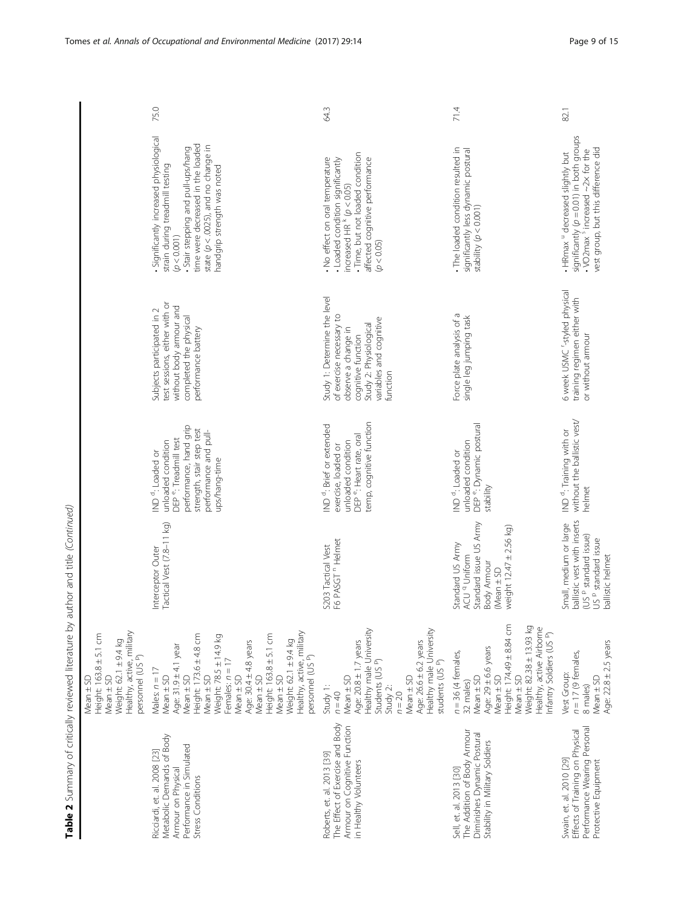|                                                                                                                               | 75.0                                                                                                                                                                                                                                                                                                                                                | 64.3                                                                                                                                                                                                                         | 71.4                                                                                                                                                                                                                           | 82.1                                                                                                                                                                            |
|-------------------------------------------------------------------------------------------------------------------------------|-----------------------------------------------------------------------------------------------------------------------------------------------------------------------------------------------------------------------------------------------------------------------------------------------------------------------------------------------------|------------------------------------------------------------------------------------------------------------------------------------------------------------------------------------------------------------------------------|--------------------------------------------------------------------------------------------------------------------------------------------------------------------------------------------------------------------------------|---------------------------------------------------------------------------------------------------------------------------------------------------------------------------------|
|                                                                                                                               | · Significantly increased physiological<br>· Stair stepping and pull-ups/hang<br>time were decreased in the loaded<br>state $(p < .0025)$ , and no change in<br>strain during treadmill testing<br>handgrip strength was noted<br>(p < 0.001)                                                                                                       | · Time, but not loaded condition<br>. No effect on oral temperature<br>affected cognitive performance<br>· Loaded condition significantly<br>increased HR $k$ ( $p$ < 0.05)<br>(p < 0.05)                                    | . The loaded condition resulted in<br>significantly less dynamic postural<br>stability $(p < 0.001)$                                                                                                                           | significantly $(p = 0.01)$ in both groups<br>vest group, but this difference did<br>$\cdot$ VO2max <sup>5</sup> increased $\sim$ 2x for the<br>. HRmax " decreased slightly but |
|                                                                                                                               | test sessions, either with or<br>without body armour and<br>Subjects participated in 2<br>completed the physical<br>performance battery                                                                                                                                                                                                             | Study 1: Determine the level<br>of exercise necessary to<br>variables and cognitive<br>Study 2: Physiological<br>observe a change in<br>cognitive function<br>function                                                       | Force plate analysis of a<br>single leg jumping task                                                                                                                                                                           | 6 week USMC "-styled physical<br>training regimen either with<br>or without armour                                                                                              |
|                                                                                                                               | performance, hand grip<br>strength, stair step test<br>performance and pull-<br>DEP <sup>e</sup> : Treadmill test<br>unloaded condition<br>IND <sup>d</sup> : Loaded or<br>ups/hang-time                                                                                                                                                            | temp, cognitive function<br>ND <sup>d</sup> : Brief or extended<br>DEP <sup>e</sup> : Heart rate, oral<br>unloaded condition<br>exercise, loaded or                                                                          | DEP <sup>e</sup> : Dynamic postural<br>unloaded condition<br>ND <sup>d</sup> : Loaded or<br>stability                                                                                                                          | without the ballistic vest/<br>IND <sup>d</sup> : Training with or<br>helmet                                                                                                    |
|                                                                                                                               | Tactical Vest (7.8-11 kg)<br>Interceptor Outer                                                                                                                                                                                                                                                                                                      | F6 PASGT <sup>n</sup> Helmet<br>S203 Tactical Vest                                                                                                                                                                           | Standard issue US Army<br>weight $12.47 \pm 2.56$ kg)<br>Standard US Army<br>ACU <sup>q</sup> Uniform<br><b>Body Armour</b><br>$(Mean \pm SD)$                                                                                 | ballistic vest with inserts<br>Small, medium or large<br>(US P standard issue)<br>US P standard issue<br>ballistic helmet                                                       |
| Healthy, active, military<br>Height: 163.8 ± 5.1 cm<br>Weight: 62.1 ± 9.4 kg<br>personnel (USP)<br>$Mean \pm SD$<br>Mean ± SD | Healthy, active, military<br>Height: 173.6 ± 4.8 cm<br>Height: 163.8 ± 5.1 cm<br>Weight: 78.5 ± 14.9 kg<br>Weight: 62.1 ± 9.4 kg<br>Age: 30.4 ± 4.8 years<br>Age: $31.9 \pm 4.1$ year<br>personnel (US P)<br>Females: $n = 17$<br>Males: $n = 17$<br>$Mean \pm SD$<br>$Mean \pm SD$<br>Mean ± SD<br>$Mean \pm SD$<br>$Mean \pm SD$<br>$Mean \pm SD$ | Healthy male University<br>Healthy male University<br>Age: 20.8 ± 1.7 years<br>Age: 26.6 ± 6.2 years<br>Students (US P)<br>students (US P)<br>$Mean \pm SD$<br>$Mean \pm SD$<br>Study 1:<br>Study 2:<br>$n = 20$<br>$n = 40$ | Height: 174.49 ± 8.84 cm<br>Weight: 82.38 ± 13.93 kg<br>Healthy, active Airborne<br>nfantry Soldiers (US P)<br>Age: $29 \pm 6.6$ years<br>$n = 36$ (4 females,<br>$Mean \pm SD$<br>$Mean \pm SD$<br>$Mean \pm SD$<br>32 males) | Age: $22.8 \pm 2.5$ years<br>$n = 17$ (9 females,<br>Vest Group:<br>$Mean \pm SD$<br>8 males)                                                                                   |
|                                                                                                                               | Metabolic Demands of Body<br>Performance in Simulated<br>Ricciardi, et. al. 2008 [23]<br>Armour on Physical<br>Stress Conditions                                                                                                                                                                                                                    | The Effect of Exercise and Body<br>Armour on Cognitive Function<br>Roberts, et. al. 2013 [39]<br>in Healthy Volunteers                                                                                                       | The Addition of Body Armour<br>Diminishes Dynamic Postural<br>Stability in Military Soldiers<br>Sell, et. al. 2013 [30]                                                                                                        | Performance Wearing Personal<br>Effects of Training on Physical<br>Swain, et. al. 2010 [29]<br>Protective Equipment                                                             |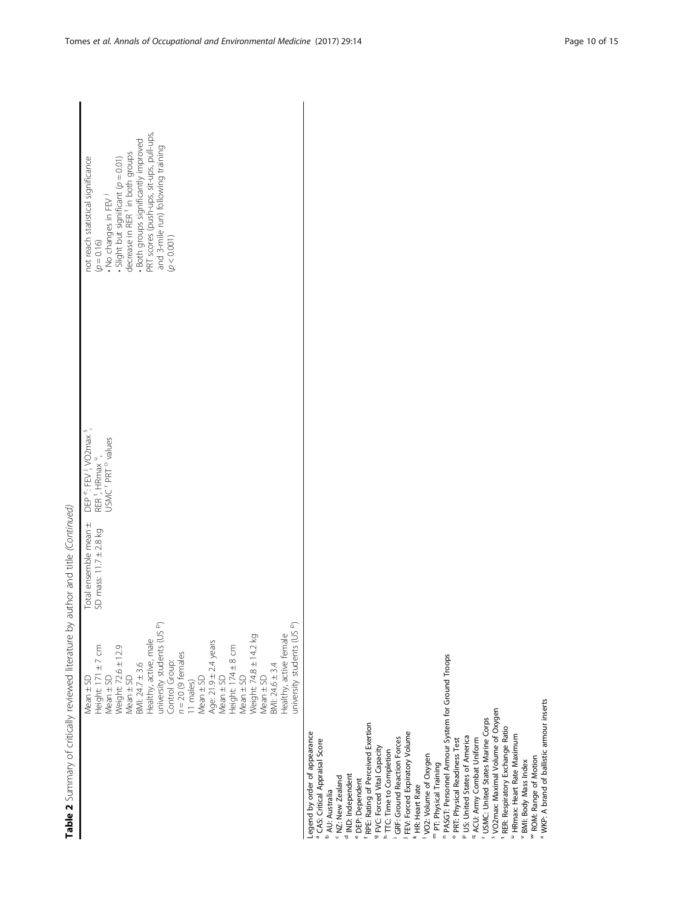| Table 2 Summary of critically reviewed literature by author and title (Continued)                                                                                                                                                                                                                                                                                                                                                                                                                                                                                                                                                                                                                                                                                                                                                                                   |                                                 |                                                                                                                                         |                                                                                                                                                                                                                                                                                                              |
|---------------------------------------------------------------------------------------------------------------------------------------------------------------------------------------------------------------------------------------------------------------------------------------------------------------------------------------------------------------------------------------------------------------------------------------------------------------------------------------------------------------------------------------------------------------------------------------------------------------------------------------------------------------------------------------------------------------------------------------------------------------------------------------------------------------------------------------------------------------------|-------------------------------------------------|-----------------------------------------------------------------------------------------------------------------------------------------|--------------------------------------------------------------------------------------------------------------------------------------------------------------------------------------------------------------------------------------------------------------------------------------------------------------|
| university students (US P)<br>university students (US P)<br>Healthy, active female<br>Weight: 74.8 ± 14.2 kg<br>Healthy, active, male<br>Age: 21.9 ± 2.4 years<br>Weight: 72.6 ± 12.9<br>Height: 174 ± 8 cm<br>Mean ± SD<br>Height: 171 ± 7 cm<br>$n = 20$ (9 females<br>Control Group:<br>$BM: 24.7 \pm 3.6$<br>BMI: 24.6 ± 3.4<br>$Mean \pm SD$<br>$Mean \pm SD$<br>$Mean \pm SD$<br>$Mean \pm SD$<br>$Mean \pm SD$<br>$Mean \pm SD$<br>11 males)                                                                                                                                                                                                                                                                                                                                                                                                                 | Total ensemble mean ±<br>SD mass: 11.7 ± 2.8 kg | DEP <sup>e</sup> : FEV <sup>1</sup> , VO2max <sup>5</sup> ,<br>RER <sup>t</sup> , HRmax ",<br>USMC <sup>r</sup> PRT <sup>o</sup> values | PRT scores (push-ups, sit-ups, pull-ups,<br>Both groups significantly improved<br>and 3-mile run) following training<br>• Slight but significant $(p = 0.01)$<br>decrease in RER $t$ in both groups<br>not reach statistical significance<br>• No changes in FEV <sup>1</sup><br>(p < 0.001)<br>$(p = 0.16)$ |
| <sup>n</sup> PASGT: Personnel Armour System for Ground Troops<br><sup>5</sup> VO2max: Maximal Volume of Oxygen<br>USMC: United States Marine Corps<br><sup>f</sup> RPE: Rating of Perceived Exertion<br><sup>t</sup> RER: Respiratory Exchange Ratio<br>Legend by order of appearance<br>FEV: Forced Expiratory Volume<br>" HRmax: Heart Rate Maximum<br>P US: United States of America<br>GRF: Ground Reaction Forces<br><sup>o</sup> PRT: Physical Readiness Test<br><sup>q</sup> ACU: Army Combat Uniform<br><sup>a</sup> CAS: Critical Appraisal Score<br>9 FVC: Forced Vital Capacity<br><sup>h</sup> TTC: Time to Completion<br>VO2: Volume of Oxygen<br>v BMI: Body Mass Index<br>m PT: Physical Training<br><sup>d</sup> IND: Independent<br><sup>c</sup> NZ: New Zealand<br><sup>e</sup> DEP: Dependent<br>k HR: Heart Rate<br><b>b</b> AU: Australia<br>ă |                                                 |                                                                                                                                         |                                                                                                                                                                                                                                                                                                              |

<sup>w</sup> ROM: Range of Motion<br><sup>x</sup> WKP: A brand of ballistic armour inserts

 $\tilde{A}$ Table 2 Summary of critically reviewed literature by author and title (Continued)  $\sqrt{ }$ J.  $\ddot{\phantom{a}}$ J. j  $\frac{1}{2}$  $\overline{\phantom{a}}$  $\overline{\phantom{a}}$ j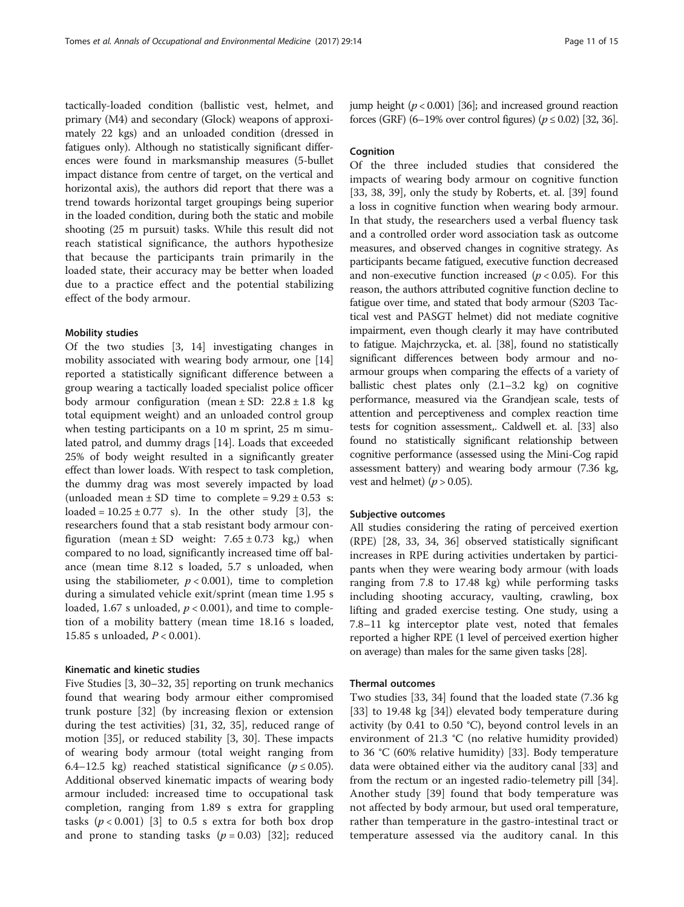tactically-loaded condition (ballistic vest, helmet, and primary (M4) and secondary (Glock) weapons of approximately 22 kgs) and an unloaded condition (dressed in fatigues only). Although no statistically significant differences were found in marksmanship measures (5-bullet impact distance from centre of target, on the vertical and horizontal axis), the authors did report that there was a trend towards horizontal target groupings being superior in the loaded condition, during both the static and mobile shooting (25 m pursuit) tasks. While this result did not reach statistical significance, the authors hypothesize that because the participants train primarily in the loaded state, their accuracy may be better when loaded due to a practice effect and the potential stabilizing effect of the body armour.

#### Mobility studies

Of the two studies [[3, 14](#page-14-0)] investigating changes in mobility associated with wearing body armour, one [[14](#page-14-0)] reported a statistically significant difference between a group wearing a tactically loaded specialist police officer body armour configuration (mean  $\pm$  SD: 22.8  $\pm$  1.8 kg total equipment weight) and an unloaded control group when testing participants on a 10 m sprint, 25 m simulated patrol, and dummy drags [\[14\]](#page-14-0). Loads that exceeded 25% of body weight resulted in a significantly greater effect than lower loads. With respect to task completion, the dummy drag was most severely impacted by load (unloaded mean  $\pm$  SD time to complete =  $9.29 \pm 0.53$  s: loaded =  $10.25 \pm 0.77$  s). In the other study [[3](#page-14-0)], the researchers found that a stab resistant body armour configuration (mean  $\pm$  SD weight: 7.65  $\pm$  0.73 kg,) when compared to no load, significantly increased time off balance (mean time 8.12 s loaded, 5.7 s unloaded, when using the stabiliometer,  $p < 0.001$ ), time to completion during a simulated vehicle exit/sprint (mean time 1.95 s loaded, 1.67 s unloaded,  $p < 0.001$ ), and time to completion of a mobility battery (mean time 18.16 s loaded, 15.85 s unloaded, P < 0.001).

#### Kinematic and kinetic studies

Five Studies [[3, 30](#page-14-0)–[32](#page-15-0), [35\]](#page-15-0) reporting on trunk mechanics found that wearing body armour either compromised trunk posture [[32\]](#page-15-0) (by increasing flexion or extension during the test activities) [[31](#page-15-0), [32](#page-15-0), [35](#page-15-0)], reduced range of motion [\[35](#page-15-0)], or reduced stability [\[3](#page-14-0), [30](#page-14-0)]. These impacts of wearing body armour (total weight ranging from 6.4–12.5 kg) reached statistical significance ( $p \le 0.05$ ). Additional observed kinematic impacts of wearing body armour included: increased time to occupational task completion, ranging from 1.89 s extra for grappling tasks  $(p < 0.001)$  [\[3](#page-14-0)] to 0.5 s extra for both box drop and prone to standing tasks  $(p = 0.03)$  [\[32](#page-15-0)]; reduced jump height  $(p < 0.001)$  [[36](#page-15-0)]; and increased ground reaction forces (GRF) (6–19% over control figures) ( $p \le 0.02$ ) [\[32](#page-15-0), [36](#page-15-0)].

#### Cognition

Of the three included studies that considered the impacts of wearing body armour on cognitive function [[33, 38](#page-15-0), [39](#page-15-0)], only the study by Roberts, et. al. [\[39](#page-15-0)] found a loss in cognitive function when wearing body armour. In that study, the researchers used a verbal fluency task and a controlled order word association task as outcome measures, and observed changes in cognitive strategy. As participants became fatigued, executive function decreased and non-executive function increased  $(p < 0.05)$ . For this reason, the authors attributed cognitive function decline to fatigue over time, and stated that body armour (S203 Tactical vest and PASGT helmet) did not mediate cognitive impairment, even though clearly it may have contributed to fatigue. Majchrzycka, et. al. [\[38\]](#page-15-0), found no statistically significant differences between body armour and noarmour groups when comparing the effects of a variety of ballistic chest plates only (2.1–3.2 kg) on cognitive performance, measured via the Grandjean scale, tests of attention and perceptiveness and complex reaction time tests for cognition assessment,. Caldwell et. al. [\[33\]](#page-15-0) also found no statistically significant relationship between cognitive performance (assessed using the Mini-Cog rapid assessment battery) and wearing body armour (7.36 kg, vest and helmet) ( $p > 0.05$ ).

#### Subjective outcomes

All studies considering the rating of perceived exertion (RPE) [\[28](#page-14-0), [33](#page-15-0), [34](#page-15-0), [36](#page-15-0)] observed statistically significant increases in RPE during activities undertaken by participants when they were wearing body armour (with loads ranging from 7.8 to 17.48 kg) while performing tasks including shooting accuracy, vaulting, crawling, box lifting and graded exercise testing. One study, using a 7.8–11 kg interceptor plate vest, noted that females reported a higher RPE (1 level of perceived exertion higher on average) than males for the same given tasks [\[28](#page-14-0)].

#### Thermal outcomes

Two studies [[33, 34\]](#page-15-0) found that the loaded state (7.36 kg [[33\]](#page-15-0) to 19.48 kg [\[34\]](#page-15-0)) elevated body temperature during activity (by 0.41 to 0.50 °C), beyond control levels in an environment of 21.3 °C (no relative humidity provided) to 36 °C (60% relative humidity) [[33\]](#page-15-0). Body temperature data were obtained either via the auditory canal [[33](#page-15-0)] and from the rectum or an ingested radio-telemetry pill [\[34](#page-15-0)]. Another study [\[39](#page-15-0)] found that body temperature was not affected by body armour, but used oral temperature, rather than temperature in the gastro-intestinal tract or temperature assessed via the auditory canal. In this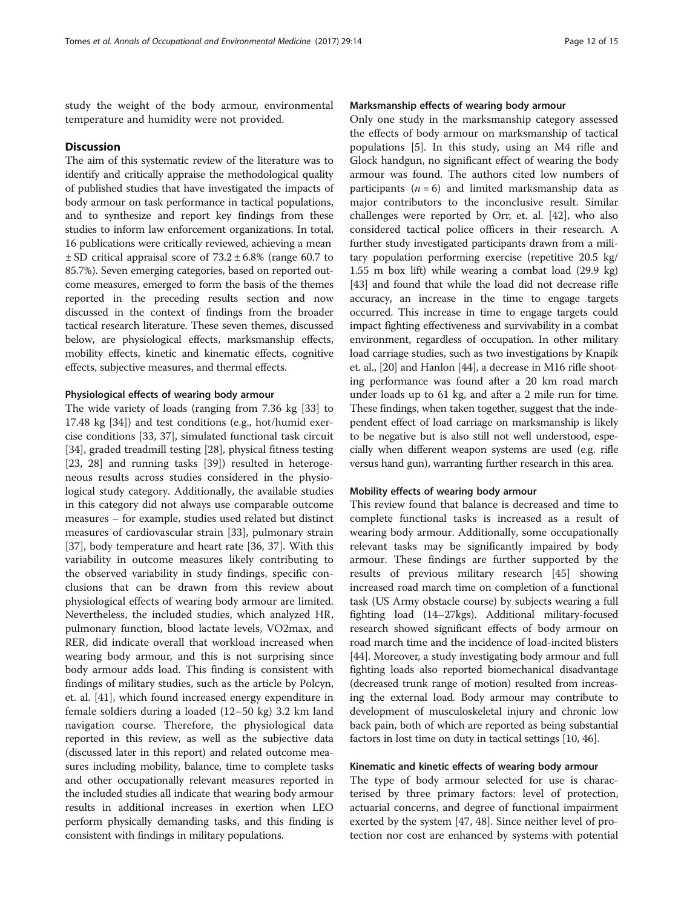study the weight of the body armour, environmental temperature and humidity were not provided.

#### **Discussion**

The aim of this systematic review of the literature was to identify and critically appraise the methodological quality of published studies that have investigated the impacts of body armour on task performance in tactical populations, and to synthesize and report key findings from these studies to inform law enforcement organizations. In total, 16 publications were critically reviewed, achieving a mean  $\pm$  SD critical appraisal score of 73.2  $\pm$  6.8% (range 60.7 to 85.7%). Seven emerging categories, based on reported outcome measures, emerged to form the basis of the themes reported in the preceding results section and now discussed in the context of findings from the broader tactical research literature. These seven themes, discussed below, are physiological effects, marksmanship effects, mobility effects, kinetic and kinematic effects, cognitive effects, subjective measures, and thermal effects.

#### Physiological effects of wearing body armour

The wide variety of loads (ranging from 7.36 kg [[33](#page-15-0)] to 17.48 kg [\[34\]](#page-15-0)) and test conditions (e.g., hot/humid exercise conditions [\[33](#page-15-0), [37](#page-15-0)], simulated functional task circuit [[34\]](#page-15-0), graded treadmill testing [\[28\]](#page-14-0), physical fitness testing [[23, 28\]](#page-14-0) and running tasks [\[39](#page-15-0)]) resulted in heterogeneous results across studies considered in the physiological study category. Additionally, the available studies in this category did not always use comparable outcome measures – for example, studies used related but distinct measures of cardiovascular strain [\[33\]](#page-15-0), pulmonary strain [[37\]](#page-15-0), body temperature and heart rate [\[36](#page-15-0), [37](#page-15-0)]. With this variability in outcome measures likely contributing to the observed variability in study findings, specific conclusions that can be drawn from this review about physiological effects of wearing body armour are limited. Nevertheless, the included studies, which analyzed HR, pulmonary function, blood lactate levels, VO2max, and RER, did indicate overall that workload increased when wearing body armour, and this is not surprising since body armour adds load. This finding is consistent with findings of military studies, such as the article by Polcyn, et. al. [\[41](#page-15-0)], which found increased energy expenditure in female soldiers during a loaded (12–50 kg) 3.2 km land navigation course. Therefore, the physiological data reported in this review, as well as the subjective data (discussed later in this report) and related outcome measures including mobility, balance, time to complete tasks and other occupationally relevant measures reported in the included studies all indicate that wearing body armour results in additional increases in exertion when LEO perform physically demanding tasks, and this finding is consistent with findings in military populations.

#### Marksmanship effects of wearing body armour

Only one study in the marksmanship category assessed the effects of body armour on marksmanship of tactical populations [\[5](#page-14-0)]. In this study, using an M4 rifle and Glock handgun, no significant effect of wearing the body armour was found. The authors cited low numbers of participants  $(n = 6)$  and limited marksmanship data as major contributors to the inconclusive result. Similar challenges were reported by Orr, et. al. [\[42\]](#page-15-0), who also considered tactical police officers in their research. A further study investigated participants drawn from a military population performing exercise (repetitive 20.5 kg/ 1.55 m box lift) while wearing a combat load (29.9 kg) [[43](#page-15-0)] and found that while the load did not decrease rifle accuracy, an increase in the time to engage targets occurred. This increase in time to engage targets could impact fighting effectiveness and survivability in a combat environment, regardless of occupation. In other military load carriage studies, such as two investigations by Knapik et. al., [\[20](#page-14-0)] and Hanlon [[44\]](#page-15-0), a decrease in M16 rifle shooting performance was found after a 20 km road march under loads up to 61 kg, and after a 2 mile run for time. These findings, when taken together, suggest that the independent effect of load carriage on marksmanship is likely to be negative but is also still not well understood, especially when different weapon systems are used (e.g. rifle versus hand gun), warranting further research in this area.

#### Mobility effects of wearing body armour

This review found that balance is decreased and time to complete functional tasks is increased as a result of wearing body armour. Additionally, some occupationally relevant tasks may be significantly impaired by body armour. These findings are further supported by the results of previous military research [[45\]](#page-15-0) showing increased road march time on completion of a functional task (US Army obstacle course) by subjects wearing a full fighting load (14–27kgs). Additional military-focused research showed significant effects of body armour on road march time and the incidence of load-incited blisters [[44](#page-15-0)]. Moreover, a study investigating body armour and full fighting loads also reported biomechanical disadvantage (decreased trunk range of motion) resulted from increasing the external load. Body armour may contribute to development of musculoskeletal injury and chronic low back pain, both of which are reported as being substantial factors in lost time on duty in tactical settings [[10,](#page-14-0) [46\]](#page-15-0).

#### Kinematic and kinetic effects of wearing body armour

The type of body armour selected for use is characterised by three primary factors: level of protection, actuarial concerns, and degree of functional impairment exerted by the system [[47](#page-15-0), [48](#page-15-0)]. Since neither level of protection nor cost are enhanced by systems with potential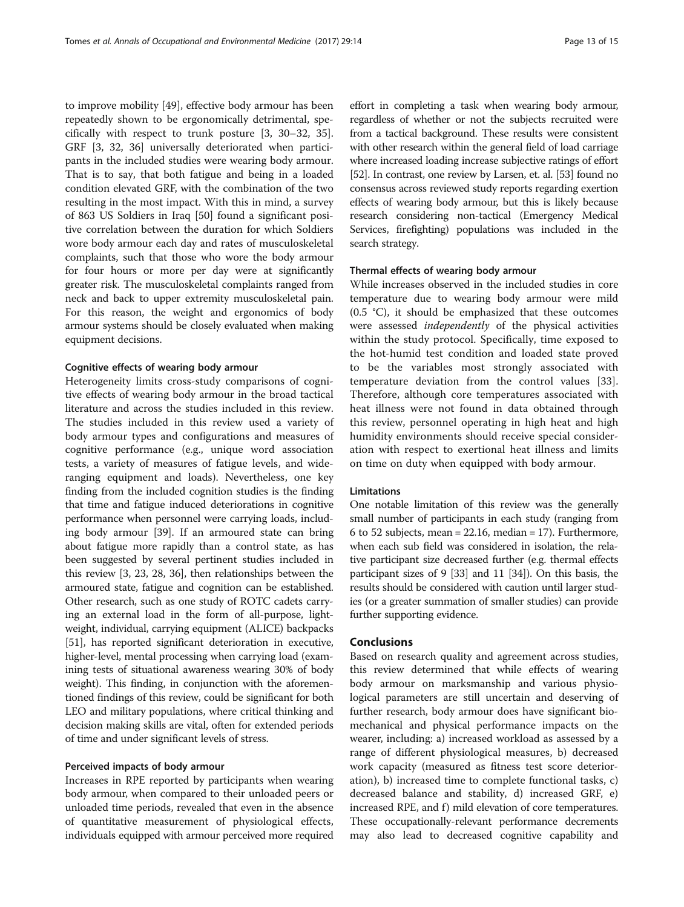to improve mobility [\[49\]](#page-15-0), effective body armour has been repeatedly shown to be ergonomically detrimental, specifically with respect to trunk posture [\[3](#page-14-0), [30](#page-14-0)–[32](#page-15-0), [35](#page-15-0)]. GRF [\[3](#page-14-0), [32](#page-15-0), [36](#page-15-0)] universally deteriorated when participants in the included studies were wearing body armour. That is to say, that both fatigue and being in a loaded condition elevated GRF, with the combination of the two resulting in the most impact. With this in mind, a survey of 863 US Soldiers in Iraq [[50\]](#page-15-0) found a significant positive correlation between the duration for which Soldiers wore body armour each day and rates of musculoskeletal complaints, such that those who wore the body armour for four hours or more per day were at significantly greater risk. The musculoskeletal complaints ranged from neck and back to upper extremity musculoskeletal pain. For this reason, the weight and ergonomics of body armour systems should be closely evaluated when making equipment decisions.

#### Cognitive effects of wearing body armour

Heterogeneity limits cross-study comparisons of cognitive effects of wearing body armour in the broad tactical literature and across the studies included in this review. The studies included in this review used a variety of body armour types and configurations and measures of cognitive performance (e.g., unique word association tests, a variety of measures of fatigue levels, and wideranging equipment and loads). Nevertheless, one key finding from the included cognition studies is the finding that time and fatigue induced deteriorations in cognitive performance when personnel were carrying loads, including body armour [[39](#page-15-0)]. If an armoured state can bring about fatigue more rapidly than a control state, as has been suggested by several pertinent studies included in this review [\[3, 23, 28](#page-14-0), [36](#page-15-0)], then relationships between the armoured state, fatigue and cognition can be established. Other research, such as one study of ROTC cadets carrying an external load in the form of all-purpose, lightweight, individual, carrying equipment (ALICE) backpacks [[51](#page-15-0)], has reported significant deterioration in executive, higher-level, mental processing when carrying load (examining tests of situational awareness wearing 30% of body weight). This finding, in conjunction with the aforementioned findings of this review, could be significant for both LEO and military populations, where critical thinking and decision making skills are vital, often for extended periods of time and under significant levels of stress.

#### Perceived impacts of body armour

Increases in RPE reported by participants when wearing body armour, when compared to their unloaded peers or unloaded time periods, revealed that even in the absence of quantitative measurement of physiological effects, individuals equipped with armour perceived more required

effort in completing a task when wearing body armour, regardless of whether or not the subjects recruited were from a tactical background. These results were consistent with other research within the general field of load carriage where increased loading increase subjective ratings of effort [[52](#page-15-0)]. In contrast, one review by Larsen, et. al. [\[53\]](#page-15-0) found no consensus across reviewed study reports regarding exertion effects of wearing body armour, but this is likely because research considering non-tactical (Emergency Medical Services, firefighting) populations was included in the search strategy.

#### Thermal effects of wearing body armour

While increases observed in the included studies in core temperature due to wearing body armour were mild (0.5 °C), it should be emphasized that these outcomes were assessed independently of the physical activities within the study protocol. Specifically, time exposed to the hot-humid test condition and loaded state proved to be the variables most strongly associated with temperature deviation from the control values [\[33](#page-15-0)]. Therefore, although core temperatures associated with heat illness were not found in data obtained through this review, personnel operating in high heat and high humidity environments should receive special consideration with respect to exertional heat illness and limits on time on duty when equipped with body armour.

#### Limitations

One notable limitation of this review was the generally small number of participants in each study (ranging from 6 to 52 subjects, mean = 22.16, median = 17). Furthermore, when each sub field was considered in isolation, the relative participant size decreased further (e.g. thermal effects participant sizes of 9 [\[33\]](#page-15-0) and 11 [[34](#page-15-0)]). On this basis, the results should be considered with caution until larger studies (or a greater summation of smaller studies) can provide further supporting evidence.

#### Conclusions

Based on research quality and agreement across studies, this review determined that while effects of wearing body armour on marksmanship and various physiological parameters are still uncertain and deserving of further research, body armour does have significant biomechanical and physical performance impacts on the wearer, including: a) increased workload as assessed by a range of different physiological measures, b) decreased work capacity (measured as fitness test score deterioration), b) increased time to complete functional tasks, c) decreased balance and stability, d) increased GRF, e) increased RPE, and f) mild elevation of core temperatures. These occupationally-relevant performance decrements may also lead to decreased cognitive capability and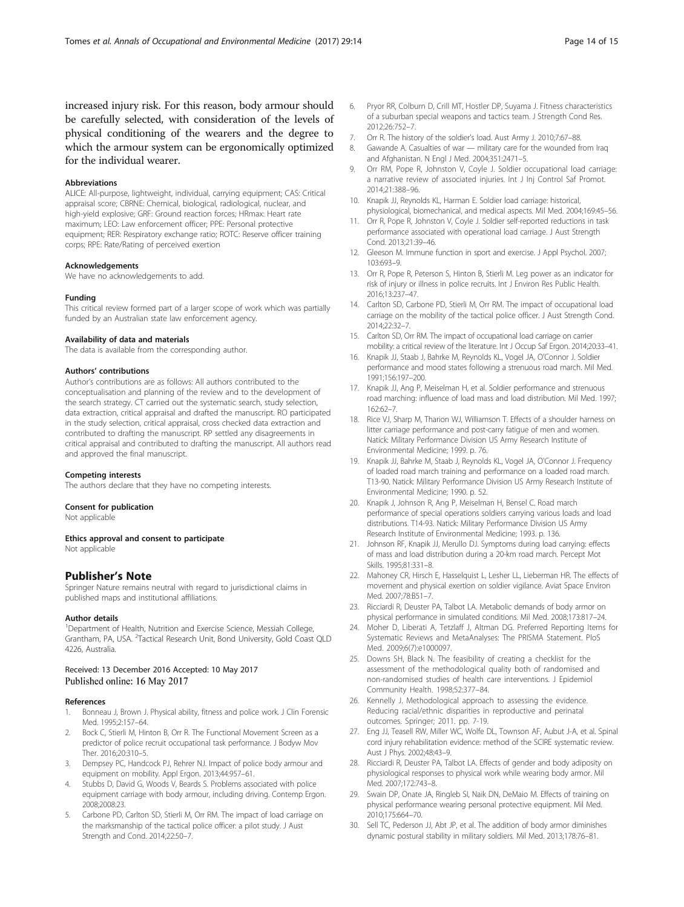<span id="page-14-0"></span>increased injury risk. For this reason, body armour should be carefully selected, with consideration of the levels of physical conditioning of the wearers and the degree to which the armour system can be ergonomically optimized for the individual wearer.

#### Abbreviations

ALICE: All-purpose, lightweight, individual, carrying equipment; CAS: Critical appraisal score; CBRNE: Chemical, biological, radiological, nuclear, and high-yield explosive; GRF: Ground reaction forces; HRmax: Heart rate maximum; LEO: Law enforcement officer; PPE: Personal protective equipment; RER: Respiratory exchange ratio; ROTC: Reserve officer training corps; RPE: Rate/Rating of perceived exertion

#### Acknowledgements

We have no acknowledgements to add.

#### Funding

This critical review formed part of a larger scope of work which was partially funded by an Australian state law enforcement agency.

#### Availability of data and materials

The data is available from the corresponding author.

#### Authors' contributions

Author's contributions are as follows: All authors contributed to the conceptualisation and planning of the review and to the development of the search strategy. CT carried out the systematic search, study selection, data extraction, critical appraisal and drafted the manuscript. RO participated in the study selection, critical appraisal, cross checked data extraction and contributed to drafting the manuscript. RP settled any disagreements in critical appraisal and contributed to drafting the manuscript. All authors read and approved the final manuscript.

#### Competing interests

The authors declare that they have no competing interests.

#### Consent for publication

Not applicable

#### Ethics approval and consent to participate

Not applicable

#### Publisher's Note

Springer Nature remains neutral with regard to jurisdictional claims in published maps and institutional affiliations.

#### Author details

<sup>1</sup>Department of Health, Nutrition and Exercise Science, Messiah College, Grantham, PA, USA. <sup>2</sup> Tactical Research Unit, Bond University, Gold Coast QLD 4226, Australia.

#### Received: 13 December 2016 Accepted: 10 May 2017 Published online: 16 May 2017

#### References

- 1. Bonneau J, Brown J. Physical ability, fitness and police work. J Clin Forensic Med. 1995;2:157–64.
- Bock C, Stierli M, Hinton B, Orr R. The Functional Movement Screen as a predictor of police recruit occupational task performance. J Bodyw Mov Ther. 2016;20:310–5.
- 3. Dempsey PC, Handcock PJ, Rehrer NJ. Impact of police body armour and equipment on mobility. Appl Ergon. 2013;44:957–61.
- 4. Stubbs D, David G, Woods V, Beards S. Problems associated with police equipment carriage with body armour, including driving. Contemp Ergon. 2008;2008:23.
- 5. Carbone PD, Carlton SD, Stierli M, Orr RM. The impact of load carriage on the marksmanship of the tactical police officer: a pilot study. J Aust Strength and Cond. 2014;22:50–7.
- 6. Pryor RR, Colburn D, Crill MT, Hostler DP, Suyama J. Fitness characteristics of a suburban special weapons and tactics team. J Strength Cond Res. 2012;26:752–7.
- 7. Orr R. The history of the soldier's load. Aust Army J. 2010;7:67–88.
- 8. Gawande A. Casualties of war military care for the wounded from Iraq and Afghanistan. N Engl J Med. 2004;351:2471–5.
- Orr RM, Pope R, Johnston V, Coyle J. Soldier occupational load carriage: a narrative review of associated injuries. Int J Inj Control Saf Promot. 2014;21:388–96.
- 10. Knapik JJ, Reynolds KL, Harman E. Soldier load carriage: historical, physiological, biomechanical, and medical aspects. Mil Med. 2004;169:45–56.
- 11. Orr R, Pope R, Johnston V, Coyle J. Soldier self-reported reductions in task performance associated with operational load carriage. J Aust Strength Cond. 2013;21:39–46.
- 12. Gleeson M. Immune function in sport and exercise. J Appl Psychol. 2007; 103:693–9.
- 13. Orr R, Pope R, Peterson S, Hinton B, Stierli M. Leg power as an indicator for risk of injury or illness in police recruits. Int J Environ Res Public Health. 2016;13:237–47.
- 14. Carlton SD, Carbone PD, Stierli M, Orr RM. The impact of occupational load carriage on the mobility of the tactical police officer. J Aust Strength Cond. 2014;22:32–7.
- 15. Carlton SD, Orr RM. The impact of occupational load carriage on carrier mobility: a critical review of the literature. Int J Occup Saf Ergon. 2014;20:33–41.
- 16. Knapik JJ, Staab J, Bahrke M, Reynolds KL, Vogel JA, O'Connor J. Soldier performance and mood states following a strenuous road march. Mil Med. 1991;156:197–200.
- 17. Knapik JJ, Ang P, Meiselman H, et al. Soldier performance and strenuous road marching: influence of load mass and load distribution. Mil Med. 1997; 162:62–7.
- 18. Rice VJ, Sharp M, Tharion WJ, Williamson T. Effects of a shoulder harness on litter carriage performance and post-carry fatigue of men and women. Natick: Military Performance Division US Army Research Institute of Environmental Medicine; 1999. p. 76.
- 19. Knapik JJ, Bahrke M, Staab J, Reynolds KL, Vogel JA, O'Connor J. Frequency of loaded road march training and performance on a loaded road march. T13-90. Natick: Military Performance Division US Army Research Institute of Environmental Medicine; 1990. p. 52.
- 20. Knapik J, Johnson R, Ang P, Meiselman H, Bensel C. Road march performance of special operations soldiers carrying various loads and load distributions. T14-93. Natick: Military Performance Division US Army Research Institute of Environmental Medicine; 1993. p. 136.
- 21. Johnson RF, Knapik JJ, Merullo DJ. Symptoms during load carrying: effects of mass and load distribution during a 20-km road march. Percept Mot Skills. 1995;81:331–8.
- 22. Mahoney CR, Hirsch E, Hasselquist L, Lesher LL, Lieberman HR. The effects of movement and physical exertion on soldier vigilance. Aviat Space Environ Med. 2007;78:B51–7.
- 23. Ricciardi R, Deuster PA, Talbot LA. Metabolic demands of body armor on physical performance in simulated conditions. Mil Med. 2008;173:817–24.
- 24. Moher D, Liberati A, Tetzlaff J, Altman DG. Preferred Reporting Items for Systematic Reviews and MetaAnalyses: The PRISMA Statement. PloS Med. 2009;6(7):e1000097.
- 25. Downs SH, Black N. The feasibility of creating a checklist for the assessment of the methodological quality both of randomised and non-randomised studies of health care interventions. J Epidemiol Community Health. 1998;52:377–84.
- 26. Kennelly J. Methodological approach to assessing the evidence. Reducing racial/ethnic disparities in reproductive and perinatal outcomes. Springer; 2011. pp. 7-19.
- 27. Eng JJ, Teasell RW, Miller WC, Wolfe DL, Townson AF, Aubut J-A, et al. Spinal cord injury rehabilitation evidence: method of the SCIRE systematic review. Aust J Phys. 2002;48:43–9.
- 28. Ricciardi R, Deuster PA, Talbot LA. Effects of gender and body adiposity on physiological responses to physical work while wearing body armor. Mil Med. 2007;172:743–8.
- 29. Swain DP, Onate JA, Ringleb SI, Naik DN, DeMaio M. Effects of training on physical performance wearing personal protective equipment. Mil Med. 2010;175:664–70.
- 30. Sell TC, Pederson JJ, Abt JP, et al. The addition of body armor diminishes dynamic postural stability in military soldiers. Mil Med. 2013;178:76–81.